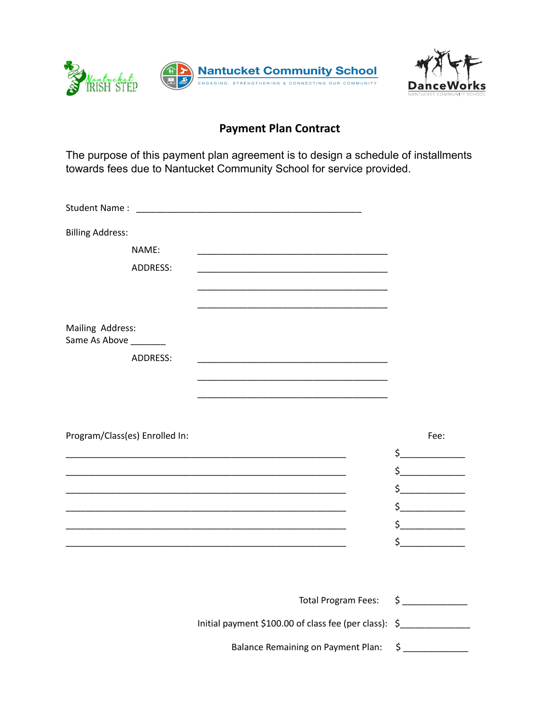



## **Payment Plan Contract**

The purpose of this payment plan agreement is to design a schedule of installments towards fees due to Nantucket Community School for service provided.

| <b>Billing Address:</b>                   |                                                                                                                     |                                                                                                                                                                                                                                                                                                                                                                                                                                                                                                                                                                                                                                                                                                                                                        |
|-------------------------------------------|---------------------------------------------------------------------------------------------------------------------|--------------------------------------------------------------------------------------------------------------------------------------------------------------------------------------------------------------------------------------------------------------------------------------------------------------------------------------------------------------------------------------------------------------------------------------------------------------------------------------------------------------------------------------------------------------------------------------------------------------------------------------------------------------------------------------------------------------------------------------------------------|
| NAME:                                     |                                                                                                                     |                                                                                                                                                                                                                                                                                                                                                                                                                                                                                                                                                                                                                                                                                                                                                        |
| <b>ADDRESS:</b>                           |                                                                                                                     |                                                                                                                                                                                                                                                                                                                                                                                                                                                                                                                                                                                                                                                                                                                                                        |
|                                           |                                                                                                                     |                                                                                                                                                                                                                                                                                                                                                                                                                                                                                                                                                                                                                                                                                                                                                        |
|                                           |                                                                                                                     |                                                                                                                                                                                                                                                                                                                                                                                                                                                                                                                                                                                                                                                                                                                                                        |
| Mailing Address:<br>Same As Above _______ |                                                                                                                     |                                                                                                                                                                                                                                                                                                                                                                                                                                                                                                                                                                                                                                                                                                                                                        |
| <b>ADDRESS:</b>                           |                                                                                                                     |                                                                                                                                                                                                                                                                                                                                                                                                                                                                                                                                                                                                                                                                                                                                                        |
|                                           |                                                                                                                     |                                                                                                                                                                                                                                                                                                                                                                                                                                                                                                                                                                                                                                                                                                                                                        |
|                                           |                                                                                                                     |                                                                                                                                                                                                                                                                                                                                                                                                                                                                                                                                                                                                                                                                                                                                                        |
|                                           |                                                                                                                     |                                                                                                                                                                                                                                                                                                                                                                                                                                                                                                                                                                                                                                                                                                                                                        |
| Program/Class(es) Enrolled In:            |                                                                                                                     | Fee:                                                                                                                                                                                                                                                                                                                                                                                                                                                                                                                                                                                                                                                                                                                                                   |
|                                           | the control of the control of the control of the control of the control of the control of                           | $\frac{1}{2}$                                                                                                                                                                                                                                                                                                                                                                                                                                                                                                                                                                                                                                                                                                                                          |
|                                           |                                                                                                                     | $\begin{array}{c} \n \uparrow \quad \quad \quad \downarrow \quad \quad \quad \downarrow \quad \quad \quad \downarrow \quad \quad \quad \downarrow \quad \quad \downarrow \quad \quad \downarrow \quad \quad \downarrow \quad \quad \downarrow \quad \quad \downarrow \quad \quad \downarrow \quad \downarrow \quad \downarrow \quad \downarrow \quad \downarrow \quad \downarrow \quad \downarrow \quad \downarrow \quad \downarrow \quad \downarrow \quad \downarrow \quad \downarrow \quad \downarrow \quad \downarrow \quad \downarrow \quad \downarrow \quad \downarrow \quad \downarrow \quad \downarrow \quad \downarrow \quad \downarrow \quad \downarrow \quad \downarrow \quad \downarrow \quad \downarrow \quad \downarrow \quad \downarrow$ |
|                                           |                                                                                                                     | $\frac{1}{2}$                                                                                                                                                                                                                                                                                                                                                                                                                                                                                                                                                                                                                                                                                                                                          |
|                                           | <u> 1989 - Johann John Stoff, deutscher Stoffen und der Stoffen und der Stoffen und der Stoffen und der Stoffen</u> | $\frac{1}{2}$                                                                                                                                                                                                                                                                                                                                                                                                                                                                                                                                                                                                                                                                                                                                          |
|                                           |                                                                                                                     | $\begin{array}{c} \n \uparrow \text{---} \quad \text{---} \quad \text{---} \quad \text{---} \quad \text{---} \quad \text{---} \quad \text{---} \quad \text{---} \quad \text{---} \quad \text{---} \quad \text{---} \quad \text{---} \quad \text{---} \quad \text{---} \quad \text{---} \quad \text{---} \quad \text{---} \quad \text{---} \quad \text{---} \quad \text{---} \quad \text{---} \quad \text{---} \quad \text{---} \quad \text{---} \quad \text{---} \quad \text{---} \quad \text{---} \quad \text{---} \quad \text{---} \quad \text{---}$                                                                                                                                                                                                 |
|                                           |                                                                                                                     | $\begin{array}{c} \n \uparrow \text{---} \quad \text{---} \quad \text{---} \quad \text{---} \quad \text{---} \quad \text{---} \quad \text{---} \quad \text{---} \quad \text{---} \quad \text{---} \quad \text{---} \quad \text{---} \quad \text{---} \quad \text{---} \quad \text{---} \quad \text{---} \quad \text{---} \quad \text{---} \quad \text{---} \quad \text{---} \quad \text{---} \quad \text{---} \quad \text{---} \quad \text{---} \quad \text{---} \quad \text{---} \quad \text{---} \quad \text{---} \quad \text{---} \quad \text{---}$                                                                                                                                                                                                 |
|                                           |                                                                                                                     |                                                                                                                                                                                                                                                                                                                                                                                                                                                                                                                                                                                                                                                                                                                                                        |
|                                           |                                                                                                                     |                                                                                                                                                                                                                                                                                                                                                                                                                                                                                                                                                                                                                                                                                                                                                        |
|                                           | Total Program Fees: \$ ___________                                                                                  |                                                                                                                                                                                                                                                                                                                                                                                                                                                                                                                                                                                                                                                                                                                                                        |
|                                           | Initial payment \$100.00 of class fee (per class): \$______________________________                                 |                                                                                                                                                                                                                                                                                                                                                                                                                                                                                                                                                                                                                                                                                                                                                        |
|                                           | <b>Balance Remaining on Payment Plan:</b>                                                                           | \$                                                                                                                                                                                                                                                                                                                                                                                                                                                                                                                                                                                                                                                                                                                                                     |